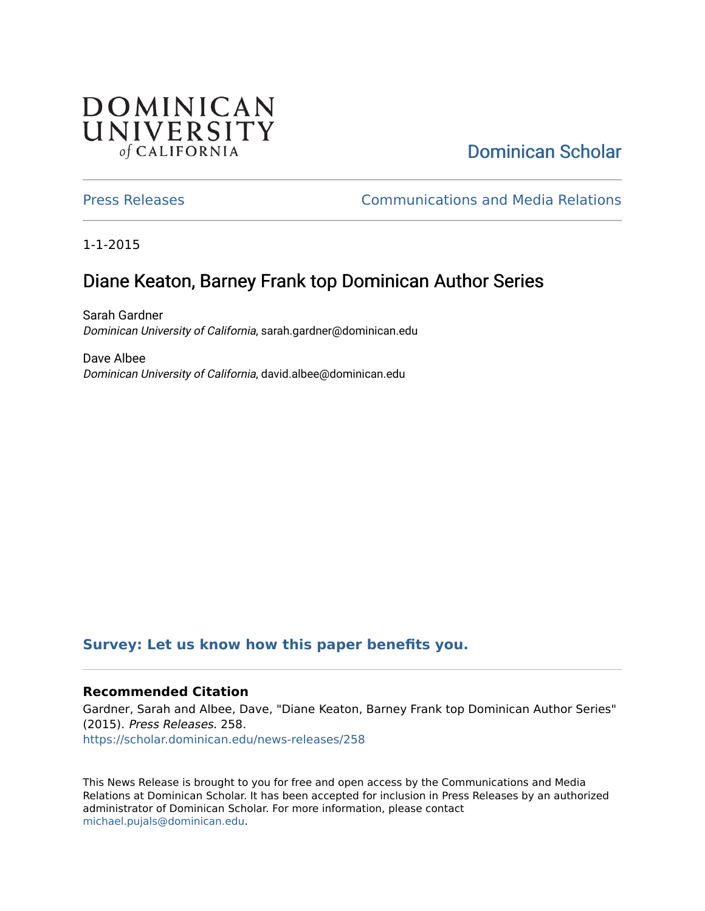## **DOMINICAN** UNIVERSITY of CALIFORNIA

# [Dominican Scholar](https://scholar.dominican.edu/)

[Press Releases](https://scholar.dominican.edu/news-releases) [Communications and Media Relations](https://scholar.dominican.edu/communications-media) 

1-1-2015

# Diane Keaton, Barney Frank top Dominican Author Series

Sarah Gardner Dominican University of California, sarah.gardner@dominican.edu

Dave Albee Dominican University of California, david.albee@dominican.edu

## **[Survey: Let us know how this paper benefits you.](https://dominican.libwizard.com/dominican-scholar-feedback)**

### **Recommended Citation**

Gardner, Sarah and Albee, Dave, "Diane Keaton, Barney Frank top Dominican Author Series" (2015). Press Releases. 258. [https://scholar.dominican.edu/news-releases/258](https://scholar.dominican.edu/news-releases/258?utm_source=scholar.dominican.edu%2Fnews-releases%2F258&utm_medium=PDF&utm_campaign=PDFCoverPages)

This News Release is brought to you for free and open access by the Communications and Media Relations at Dominican Scholar. It has been accepted for inclusion in Press Releases by an authorized administrator of Dominican Scholar. For more information, please contact [michael.pujals@dominican.edu.](mailto:michael.pujals@dominican.edu)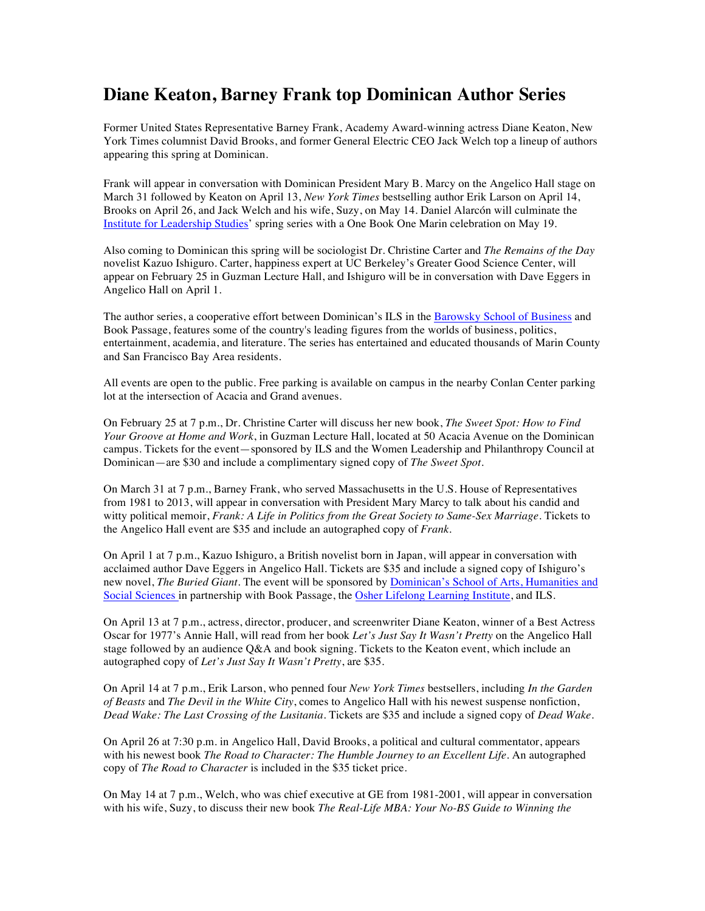## **Diane Keaton, Barney Frank top Dominican Author Series**

Former United States Representative Barney Frank, Academy Award-winning actress Diane Keaton, New York Times columnist David Brooks, and former General Electric CEO Jack Welch top a lineup of authors appearing this spring at Dominican.

Frank will appear in conversation with Dominican President Mary B. Marcy on the Angelico Hall stage on March 31 followed by Keaton on April 13, *New York Times* bestselling author Erik Larson on April 14, Brooks on April 26, and Jack Welch and his wife, Suzy, on May 14. Daniel Alarcón will culminate the Institute for Leadership Studies' spring series with a One Book One Marin celebration on May 19.

Also coming to Dominican this spring will be sociologist Dr. Christine Carter and *The Remains of the Day*  novelist Kazuo Ishiguro. Carter, happiness expert at UC Berkeley's Greater Good Science Center, will appear on February 25 in Guzman Lecture Hall, and Ishiguro will be in conversation with Dave Eggers in Angelico Hall on April 1.

The author series, a cooperative effort between Dominican's ILS in the Barowsky School of Business and Book Passage, features some of the country's leading figures from the worlds of business, politics, entertainment, academia, and literature. The series has entertained and educated thousands of Marin County and San Francisco Bay Area residents.

All events are open to the public. Free parking is available on campus in the nearby Conlan Center parking lot at the intersection of Acacia and Grand avenues.

On February 25 at 7 p.m., Dr. Christine Carter will discuss her new book, *The Sweet Spot: How to Find Your Groove at Home and Work*, in Guzman Lecture Hall, located at 50 Acacia Avenue on the Dominican campus. Tickets for the event—sponsored by ILS and the Women Leadership and Philanthropy Council at Dominican—are \$30 and include a complimentary signed copy of *The Sweet Spot*.

On March 31 at 7 p.m., Barney Frank, who served Massachusetts in the U.S. House of Representatives from 1981 to 2013, will appear in conversation with President Mary Marcy to talk about his candid and witty political memoir, *Frank: A Life in Politics from the Great Society to Same-Sex Marriage*. Tickets to the Angelico Hall event are \$35 and include an autographed copy of *Frank*.

On April 1 at 7 p.m., Kazuo Ishiguro, a British novelist born in Japan, will appear in conversation with acclaimed author Dave Eggers in Angelico Hall. Tickets are \$35 and include a signed copy of Ishiguro's new novel, *The Buried Giant*. The event will be sponsored by Dominican's School of Arts, Humanities and Social Sciences in partnership with Book Passage, the Osher Lifelong Learning Institute, and ILS.

On April 13 at 7 p.m., actress, director, producer, and screenwriter Diane Keaton, winner of a Best Actress Oscar for 1977's Annie Hall, will read from her book *Let's Just Say It Wasn't Pretty* on the Angelico Hall stage followed by an audience Q&A and book signing. Tickets to the Keaton event, which include an autographed copy of *Let's Just Say It Wasn't Pretty*, are \$35.

On April 14 at 7 p.m., Erik Larson, who penned four *New York Times* bestsellers, including *In the Garden of Beasts* and *The Devil in the White City*, comes to Angelico Hall with his newest suspense nonfiction, *Dead Wake: The Last Crossing of the Lusitania*. Tickets are \$35 and include a signed copy of *Dead Wake*.

On April 26 at 7:30 p.m. in Angelico Hall, David Brooks, a political and cultural commentator, appears with his newest book *The Road to Character: The Humble Journey to an Excellent Life*. An autographed copy of *The Road to Character* is included in the \$35 ticket price.

On May 14 at 7 p.m., Welch, who was chief executive at GE from 1981-2001, will appear in conversation with his wife, Suzy, to discuss their new book *The Real-Life MBA: Your No-BS Guide to Winning the*